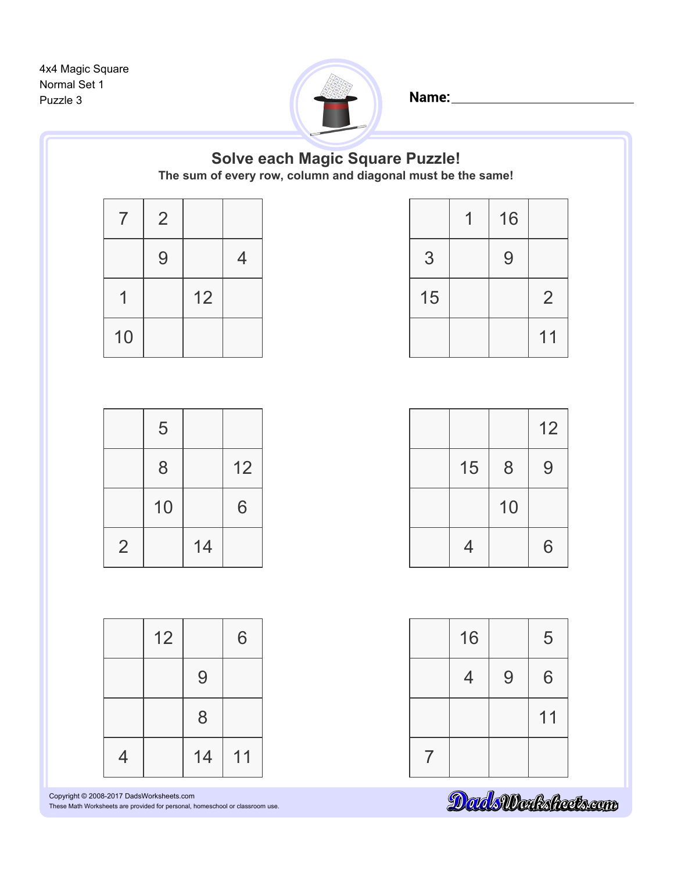4x4 Magic Square Normal Set 1 Puzzle 3



Name: when the contract of the contract of the contract of the contract of the contract of the contract of the

## **Solve each Magic Square Puzzle! The sum of every row, column and diagonal must be the same!**

| 7  | $\overline{2}$ |    |                |  |
|----|----------------|----|----------------|--|
|    | 9              |    | $\overline{4}$ |  |
|    |                | 12 |                |  |
| 10 |                |    |                |  |

|    | 16 |                |  |
|----|----|----------------|--|
| 3  | 9  |                |  |
| 15 |    | $\overline{2}$ |  |
|    |    | 11             |  |

|                | 5  |    |    |  |
|----------------|----|----|----|--|
|                | 8  |    | 12 |  |
|                | 10 |    | 6  |  |
| $\overline{2}$ |    | 14 |    |  |

|                | 12 |    | 6  |  |
|----------------|----|----|----|--|
|                |    | 9  |    |  |
|                |    | 8  |    |  |
| $\overline{4}$ |    | 14 | 11 |  |

|    |    | 12 |  |
|----|----|----|--|
| 15 | 8  | 9  |  |
|    | 10 |    |  |
| 4  |    | 6  |  |

| 16             |   | 5  |  |
|----------------|---|----|--|
| $\overline{4}$ | 9 | 6  |  |
|                |   | 11 |  |
|                |   |    |  |

DadsWarksheets.com